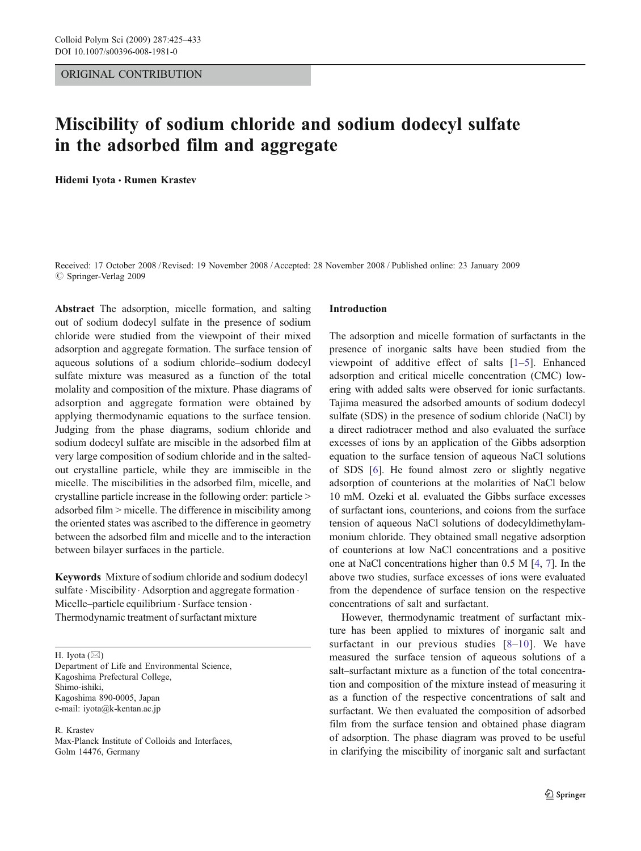# ORIGINAL CONTRIBUTION

# Miscibility of sodium chloride and sodium dodecyl sulfate in the adsorbed film and aggregate

Hidemi Iyota *&* Rumen Krastev

Received: 17 October 2008 /Revised: 19 November 2008 /Accepted: 28 November 2008 / Published online: 23 January 2009  $\circ$  Springer-Verlag 2009

Abstract The adsorption, micelle formation, and salting out of sodium dodecyl sulfate in the presence of sodium chloride were studied from the viewpoint of their mixed adsorption and aggregate formation. The surface tension of aqueous solutions of a sodium chloride–sodium dodecyl sulfate mixture was measured as a function of the total molality and composition of the mixture. Phase diagrams of adsorption and aggregate formation were obtained by applying thermodynamic equations to the surface tension. Judging from the phase diagrams, sodium chloride and sodium dodecyl sulfate are miscible in the adsorbed film at very large composition of sodium chloride and in the saltedout crystalline particle, while they are immiscible in the micelle. The miscibilities in the adsorbed film, micelle, and crystalline particle increase in the following order: particle > adsorbed film > micelle. The difference in miscibility among the oriented states was ascribed to the difference in geometry between the adsorbed film and micelle and to the interaction between bilayer surfaces in the particle.

Keywords Mixture of sodium chloride and sodium dodecyl sulfate · Miscibility · Adsorption and aggregate formation · Micelle–particle equilibrium · Surface tension · Thermodynamic treatment of surfactant mixture

H. Iyota  $(\boxtimes)$ 

Department of Life and Environmental Science, Kagoshima Prefectural College, Shimo-ishiki, Kagoshima 890-0005, Japan e-mail: iyota@k-kentan.ac.jp

R. Krastev Max-Planck Institute of Colloids and Interfaces, Golm 14476, Germany

### Introduction

The adsorption and micelle formation of surfactants in the presence of inorganic salts have been studied from the viewpoint of additive effect of salts [\[1](#page-8-0)–[5](#page-8-0)]. Enhanced adsorption and critical micelle concentration (CMC) lowering with added salts were observed for ionic surfactants. Tajima measured the adsorbed amounts of sodium dodecyl sulfate (SDS) in the presence of sodium chloride (NaCl) by a direct radiotracer method and also evaluated the surface excesses of ions by an application of the Gibbs adsorption equation to the surface tension of aqueous NaCl solutions of SDS [[6\]](#page-8-0). He found almost zero or slightly negative adsorption of counterions at the molarities of NaCl below 10 mM. Ozeki et al. evaluated the Gibbs surface excesses of surfactant ions, counterions, and coions from the surface tension of aqueous NaCl solutions of dodecyldimethylammonium chloride. They obtained small negative adsorption of counterions at low NaCl concentrations and a positive one at NaCl concentrations higher than 0.5 M [[4,](#page-8-0) [7](#page-8-0)]. In the above two studies, surface excesses of ions were evaluated from the dependence of surface tension on the respective concentrations of salt and surfactant.

However, thermodynamic treatment of surfactant mixture has been applied to mixtures of inorganic salt and surfactant in our previous studies [[8](#page-8-0)–[10\]](#page-8-0). We have measured the surface tension of aqueous solutions of a salt–surfactant mixture as a function of the total concentration and composition of the mixture instead of measuring it as a function of the respective concentrations of salt and surfactant. We then evaluated the composition of adsorbed film from the surface tension and obtained phase diagram of adsorption. The phase diagram was proved to be useful in clarifying the miscibility of inorganic salt and surfactant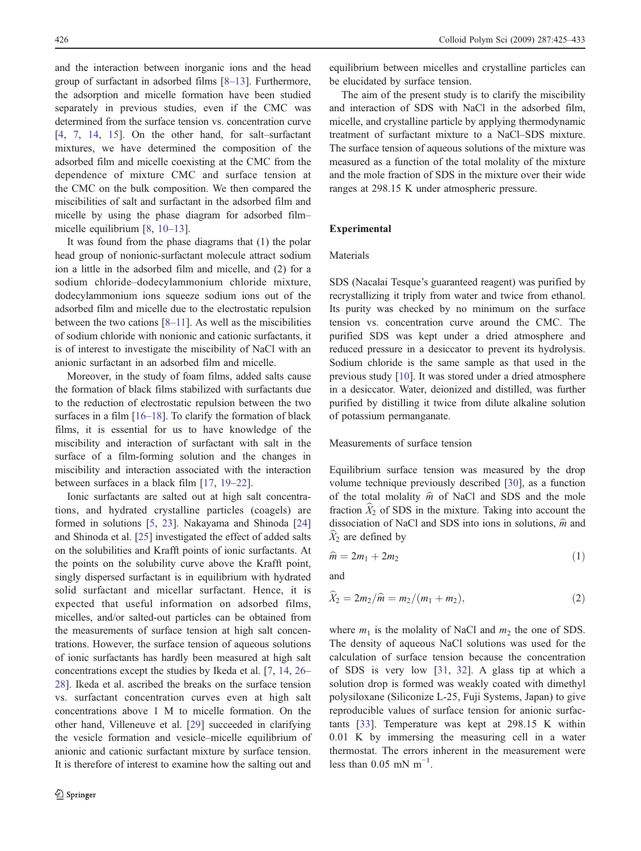and the interaction between inorganic ions and the head group of surfactant in adsorbed films [\[8](#page-8-0)–[13](#page-8-0)]. Furthermore, the adsorption and micelle formation have been studied separately in previous studies, even if the CMC was determined from the surface tension vs. concentration curve [\[4](#page-8-0), [7](#page-8-0), [14,](#page-8-0) [15\]](#page-8-0). On the other hand, for salt–surfactant mixtures, we have determined the composition of the adsorbed film and micelle coexisting at the CMC from the dependence of mixture CMC and surface tension at the CMC on the bulk composition. We then compared the miscibilities of salt and surfactant in the adsorbed film and micelle by using the phase diagram for adsorbed film– micelle equilibrium [[8,](#page-8-0) [10](#page-8-0)–[13](#page-8-0)].

It was found from the phase diagrams that (1) the polar head group of nonionic-surfactant molecule attract sodium ion a little in the adsorbed film and micelle, and (2) for a sodium chloride–dodecylammonium chloride mixture, dodecylammonium ions squeeze sodium ions out of the adsorbed film and micelle due to the electrostatic repulsion between the two cations [\[8](#page-8-0)–[11](#page-8-0)]. As well as the miscibilities of sodium chloride with nonionic and cationic surfactants, it is of interest to investigate the miscibility of NaCl with an anionic surfactant in an adsorbed film and micelle.

Moreover, in the study of foam films, added salts cause the formation of black films stabilized with surfactants due to the reduction of electrostatic repulsion between the two surfaces in a film [[16](#page-8-0)–[18\]](#page-8-0). To clarify the formation of black films, it is essential for us to have knowledge of the miscibility and interaction of surfactant with salt in the surface of a film-forming solution and the changes in miscibility and interaction associated with the interaction between surfaces in a black film [[17,](#page-8-0) [19](#page-8-0)–[22\]](#page-8-0).

Ionic surfactants are salted out at high salt concentrations, and hydrated crystalline particles (coagels) are formed in solutions [[5,](#page-8-0) [23\]](#page-8-0). Nakayama and Shinoda [[24\]](#page-8-0) and Shinoda et al. [[25\]](#page-8-0) investigated the effect of added salts on the solubilities and Krafft points of ionic surfactants. At the points on the solubility curve above the Krafft point, singly dispersed surfactant is in equilibrium with hydrated solid surfactant and micellar surfactant. Hence, it is expected that useful information on adsorbed films, micelles, and/or salted-out particles can be obtained from the measurements of surface tension at high salt concentrations. However, the surface tension of aqueous solutions of ionic surfactants has hardly been measured at high salt concentrations except the studies by Ikeda et al. [\[7](#page-8-0), [14,](#page-8-0) [26](#page-8-0)– [28\]](#page-8-0). Ikeda et al. ascribed the breaks on the surface tension vs. surfactant concentration curves even at high salt concentrations above 1 M to micelle formation. On the other hand, Villeneuve et al. [[29\]](#page-8-0) succeeded in clarifying the vesicle formation and vesicle–micelle equilibrium of anionic and cationic surfactant mixture by surface tension. It is therefore of interest to examine how the salting out and equilibrium between micelles and crystalline particles can be elucidated by surface tension.

The aim of the present study is to clarify the miscibility and interaction of SDS with NaCl in the adsorbed film, micelle, and crystalline particle by applying thermodynamic treatment of surfactant mixture to a NaCl–SDS mixture. The surface tension of aqueous solutions of the mixture was measured as a function of the total molality of the mixture and the mole fraction of SDS in the mixture over their wide ranges at 298.15 K under atmospheric pressure.

# Experimental

# Materials

SDS (Nacalai Tesque's guaranteed reagent) was purified by recrystallizing it triply from water and twice from ethanol. Its purity was checked by no minimum on the surface tension vs. concentration curve around the CMC. The purified SDS was kept under a dried atmosphere and reduced pressure in a desiccator to prevent its hydrolysis. Sodium chloride is the same sample as that used in the previous study [[10\]](#page-8-0). It was stored under a dried atmosphere in a desiccator. Water, deionized and distilled, was further purified by distilling it twice from dilute alkaline solution of potassium permanganate.

# Measurements of surface tension

Equilibrium surface tension was measured by the drop volume technique previously described [[30\]](#page-8-0), as a function of the total molality  $\hat{m}$  of NaCl and SDS and the mole fraction  $\hat{X}_2$  of SDS in the mixture. Taking into account the dissociation of NaCl and SDS into ions in solutions,  $\hat{m}$  and  $X_2$  are defined by

$$
\widehat{m} = 2m_1 + 2m_2 \tag{1}
$$

and

$$
\widehat{X}_2 = 2m_2/\widehat{m} = m_2/(m_1 + m_2),\tag{2}
$$

where  $m_1$  is the molality of NaCl and  $m_2$  the one of SDS. The density of aqueous NaCl solutions was used for the calculation of surface tension because the concentration of SDS is very low [[31,](#page-8-0) [32](#page-8-0)]. A glass tip at which a solution drop is formed was weakly coated with dimethyl polysiloxane (Siliconize L-25, Fuji Systems, Japan) to give reproducible values of surface tension for anionic surfactants [\[33\]](#page-8-0). Temperature was kept at 298.15 K within 0.01 K by immersing the measuring cell in a water thermostat. The errors inherent in the measurement were less than  $0.05$  mN m<sup>-1</sup>.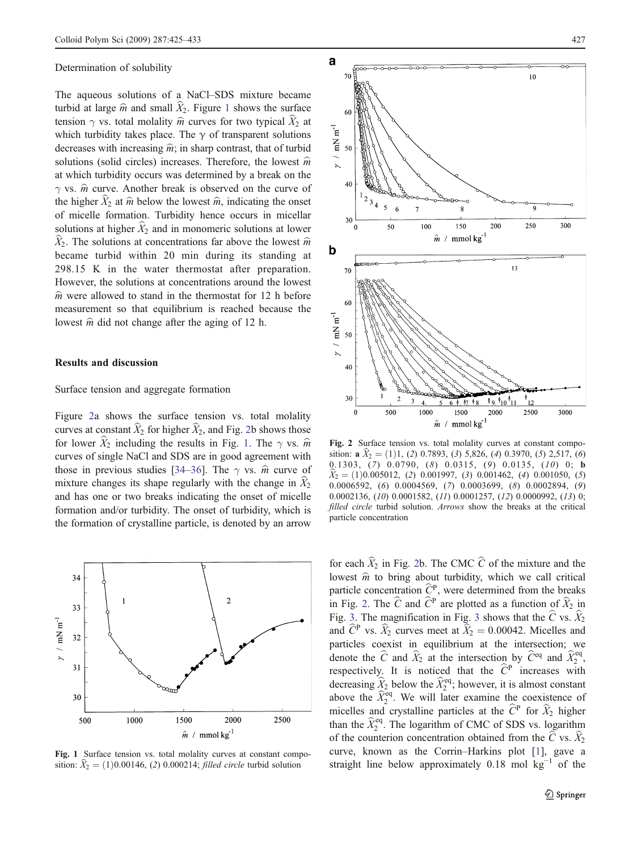#### <span id="page-2-0"></span>Determination of solubility

The aqueous solutions of a NaCl–SDS mixture became turbid at large  $\hat{m}$  and small  $\hat{X}_2$ . Figure 1 shows the surface tension  $\gamma$  vs. total molality  $\hat{m}$  curves for two typical  $\hat{X}_2$  at which turbidity takes place. The  $\gamma$  of transparent solutions decreases with increasing  $\hat{m}$ ; in sharp contrast, that of turbid solutions (solid circles) increases. Therefore, the lowest  $\hat{m}$ at which turbidity occurs was determined by a break on the  $\gamma$  vs.  $\hat{m}$  curve. Another break is observed on the curve of the higher  $\hat{X}_2$  at  $\hat{m}$  below the lowest  $\hat{m}$ , indicating the onset of micelle formation. Turbidity hence occurs in micellar solutions at higher  $\hat{X}_2$  and in monomeric solutions at lower  $\widehat{X}_2$ . The solutions at concentrations far above the lowest  $\widehat{m}$ became turbid within 20 min during its standing at 298.15 K in the water thermostat after preparation. However, the solutions at concentrations around the lowest  $\hat{m}$  were allowed to stand in the thermostat for 12 h before measurement so that equilibrium is reached because the lowest  $\hat{m}$  did not change after the aging of 12 h.

### Results and discussion

# Surface tension and aggregate formation

Figure 2a shows the surface tension vs. total molality curves at constant  $\widehat{X}_2$  for higher  $\widehat{X}_2$ , and Fig. 2b shows those for lower  $\hat{X}_2$  including the results in Fig. 1. The  $\gamma$  vs.  $\hat{m}$ curves of single NaCl and SDS are in good agreement with those in previous studies [\[34](#page-8-0)–[36](#page-8-0)]. The  $\gamma$  vs.  $\hat{m}$  curve of mixture changes its shape regularly with the change in  $\hat{X}_2$ and has one or two breaks indicating the onset of micelle formation and/or turbidity. The onset of turbidity, which is the formation of crystalline particle, is denoted by an arrow



Fig. 1 Surface tension vs. total molality curves at constant composition:  $X_2 = (1)0.00146$ , (2) 0.000214; *filled circle* turbid solution



Fig. 2 Surface tension vs. total molality curves at constant composition:  $\mathbf{a} \widehat{X}_2 = (1)1, (2)$  0.7893, (3) 5,826, (4) 0.3970, (5) 2,517, (6) 0.1303, (7) 0.0790, (8) 0.0315, (9) 0.0135, (10) 0; b  $\hat{X}_2 = (1)0.005012, (2) 0.001997, (3) 0.001462, (4) 0.001050, (5)$ 0.0006592, (6) 0.0004569, (7) 0.0003699, (8) 0.0002894, (9) 0.0002136, (10) 0.0001582, (11) 0.0001257, (12) 0.0000992, (13) 0; filled circle turbid solution. Arrows show the breaks at the critical particle concentration

for each  $\hat{X}_2$  in Fig. 2b. The CMC  $\hat{C}$  of the mixture and the lowest  $\hat{m}$  to bring about turbidity, which we call critical particle concentration  $\hat{C}^P$ , were determined from the breaks in Fig. 2. The  $\widehat{C}$  and  $\widehat{C}^P$  are plotted as a function of  $\widehat{X}_2$  in Fig. [3.](#page-3-0) The magnification in Fig. [3](#page-3-0) shows that the  $\hat{C}$  vs.  $\hat{X}_2$ and  $\hat{C}^{\text{P}}$  vs.  $\hat{X}_2$  curves meet at  $\hat{X}_2 = 0.00042$ . Micelles and particles coexist in equilibrium at the intersection; we denote the  $\hat{C}$  and  $\hat{X}_2$  at the intersection by  $\hat{C}^{\text{eq}}$  and  $\hat{X}_2^{\text{eq}}$ , respectively. It is noticed that the  $\hat{C}^{\text{P}}$  increases with decreasing  $\hat{X}_2$  below the  $\hat{X}_2^{\text{eq}}$ ; however, it is almost constant above the  $\hat{X}_2^{\text{eq}}$ . We will later examine the coexistence of micelles and crystalline particles at the  $\hat{C}^{\text{P}}$  for  $\hat{X}_2$  higher than the  $\hat{X}_2^{\text{eq}}$ . The logarithm of CMC of SDS vs. logarithm of the counterion concentration obtained from the C vs.  $\widetilde{X}_2$ curve, known as the Corrin–Harkins plot [[1\]](#page-8-0), gave a straight line below approximately 0.18 mol  $kg^{-1}$  of the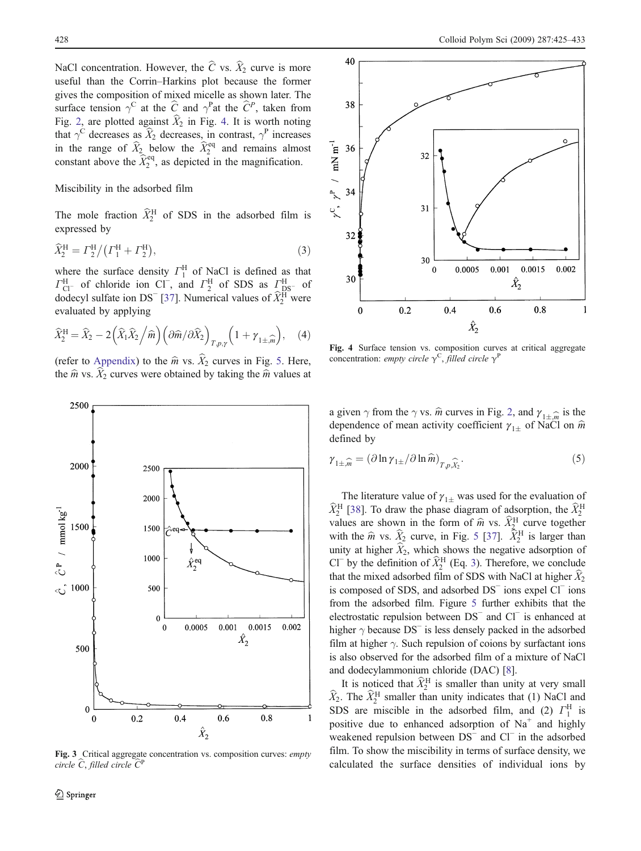<span id="page-3-0"></span>NaCl concentration. However, the  $\hat{C}$  vs.  $\hat{X}_2$  curve is more useful than the Corrin–Harkins plot because the former gives the composition of mixed micelle as shown later. The surface tension  $\gamma^C$  at the  $\hat{C}$  and  $\gamma^P$  at the  $\hat{C}^P$ , taken from Fig. [2,](#page-2-0) are plotted against  $\widehat{X}_2$  in Fig. 4. It is worth noting that  $\gamma^C$  decreases as  $\hat{X}_2$  decreases, in contrast,  $\gamma^P$  increases in the range of  $\widehat{X}_2$  below the  $\widehat{X}_2^{\text{eq}}$  and remains almost constant above the  $\hat{X}_2^{\text{eq}}$ , as depicted in the magnification.

# Miscibility in the adsorbed film

The mole fraction  $\hat{X}_2^{\text{H}}$  of SDS in the adsorbed film is expressed by

$$
\widehat{X}_2^{\rm H} = \Gamma_2^{\rm H} / (\Gamma_1^{\rm H} + \Gamma_2^{\rm H}),\tag{3}
$$

where the surface density  $\Gamma_1^H$  of NaCl is defined as that  $\Gamma_{\text{Cl}^-}^{\text{H}}$  of chloride ion Cl<sup>−</sup>, and  $\Gamma_2^{\text{H}}$  of SDS as  $\Gamma_{\text{DS}^-}^{\text{H}}$  of dodecyl sulfate ion DS<sup>-</sup> [\[37](#page-8-0)]. Numerical values of  $\hat{X}_2^{\text{H}}$  were evaluated by applying

$$
\widehat{X}_2^{\rm H} = \widehat{X}_2 - 2\left(\widehat{X}_1\widehat{X}_2\middle/\widehat{m}\right)\left(\partial\widehat{m}/\partial\widehat{X}_2\right)_{T,p,\gamma}\left(1 + \gamma_{1\pm,\widehat{m}}\right),\quad(4)
$$

(refer to [Appendix](#page-7-0)) to the  $\hat{m}$  vs.  $\hat{X}_2$  curves in Fig. [5.](#page-4-0) Here, the  $\hat{m}$  vs.  $\hat{X}_2$  curves were obtained by taking the  $\hat{m}$  values at



Fig. 3 Critical aggregate concentration vs. composition curves: empty circle  $\hat{C}$ , filled circle  $\hat{C}^{\text{I}}$ 



Fig. 4 Surface tension vs. composition curves at critical aggregate concentration: empty circle  $\gamma^C$ , filled circle  $\gamma^P$ 

a given  $\gamma$  from the  $\gamma$  vs.  $\hat{m}$  curves in Fig. [2](#page-2-0), and  $\gamma_{1\pm\hat{m}}$  is the denendence of mean activity coefficient  $\gamma_{1\pm}$  of NaCl on  $\hat{m}$ dependence of mean activity coefficient  $\gamma_{1\pm}$  of NaCl on  $\hat{m}$ defined by

$$
\gamma_{1\pm,\widehat{m}} = (\partial \ln \gamma_{1\pm}/\partial \ln \widehat{m})_{T,p,\widehat{X}_2}.
$$
\n(5)

The literature value of  $\gamma_{1\pm}$  was used for the evaluation of  $\hat{Y}^{\text{H}}$ <br><sup>I</sup> [38] To draw the phase diagram of adsorption, the  $\hat{Y}^{\text{H}}$  $\widehat{X}_2^{\rm H}$  [[38\]](#page-8-0). To draw the phase diagram of adsorption, the  $\widehat{X}_2^{\rm H}$ values are shown in the form of  $\hat{m}$  vs.  $\hat{X}_{2}^{H}$  curve together with the  $\hat{m}$  vs.  $\hat{X}_2$  curve, in Fig. [5](#page-4-0) [\[37\]](#page-8-0).  $\hat{X}_2^H$  is larger than unity at higher  $\hat{X}_2$ , which shows the negative adsorption of Cl<sup>−</sup> by the definition of  $\widehat{X}_2^{\text{H}}$  (Eq. 3). Therefore, we conclude that the mixed adsorbed film of SDS with NaCl at higher  $\widehat{X}_2$ is composed of SDS, and adsorbed DS<sup>−</sup> ions expel Cl<sup>−</sup> ions from the adsorbed film. Figure [5](#page-4-0) further exhibits that the electrostatic repulsion between DS<sup>−</sup> and Cl<sup>−</sup> is enhanced at higher  $\gamma$  because DS<sup>−</sup> is less densely packed in the adsorbed film at higher  $\gamma$ . Such repulsion of coions by surfactant ions is also observed for the adsorbed film of a mixture of NaCl and dodecylammonium chloride (DAC) [\[8](#page-8-0)].

It is noticed that  $\widehat{X}_2^{\text{H}}$  is smaller than unity at very small  $\widehat{X}_2$ . The  $\widehat{X}_2^{\text{H}}$  smaller than unity indicates that (1) NaCl and SDS are miscible in the adsorbed film, and (2)  $\Gamma_1^H$  is positive due to enhanced adsorption of  $Na<sup>+</sup>$  and highly weakened repulsion between DS<sup>−</sup> and Cl<sup>−</sup> in the adsorbed film. To show the miscibility in terms of surface density, we calculated the surface densities of individual ions by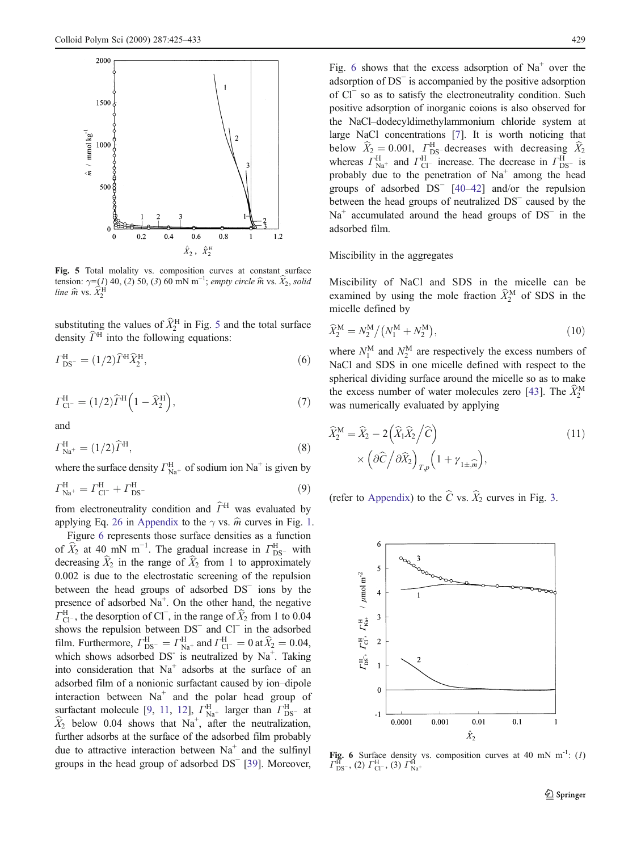<span id="page-4-0"></span>

Fig. 5 Total molality vs. composition curves at constant surface tension:  $\gamma = (1)$  40, (2) 50, (3) 60 mN m<sup>-1</sup>; empty circle  $\hat{m}$  vs.  $\hat{X}_2$ , solid line  $\widehat{m}$  vs.  $\widehat{X}_2^{\textrm{H}}$ 

substituting the values of  $\widehat{X}_2^{\text{H}}$  in Fig. 5 and the total surface density  $\widehat{\Gamma}^{\text{H}}$  into the following equations:

$$
\Gamma_{\rm DS^-}^{\rm H} = (1/2)\widehat{\Gamma}^{\rm H} \widehat{X}_2^{\rm H},\tag{6}
$$

$$
\Gamma_{\text{Cl}^-}^{\text{H}} = (1/2)\hat{\Gamma}^{\text{H}}\left(1 - \hat{X}_2^{\text{H}}\right),\tag{7}
$$

and

$$
\Gamma_{\text{Na}^+}^{\text{H}} = (1/2)\widehat{\Gamma}^{\text{H}},\tag{8}
$$

where the surface density  $\Gamma_{\text{Na}^+}^{\text{H}}$  of sodium ion Na<sup>+</sup> is given by

$$
\Gamma_{\text{Na}^+}^{\text{H}} = \Gamma_{\text{Cl}^-}^{\text{H}} + \Gamma_{\text{DS}^-}^{\text{H}} \tag{9}
$$

from electroneutrality condition and  $\widehat{\Gamma}^{\mathrm{H}}$  was evaluated by applying Eq. [26](#page-7-0) in [Appendix](#page-7-0) to the  $\gamma$  vs.  $\hat{m}$  curves in Fig. [1.](#page-2-0)

Figure 6 represents those surface densities as a function of  $\hat{X}_2$  at 40 mN m<sup>-1</sup>. The gradual increase in  $\Gamma_{\text{DS}^-}^{\text{H}}$  with decreasing  $\hat{X}_2$  in the range of  $\hat{X}_2$  from 1 to approximately 0.002 is due to the electrostatic screening of the repulsion between the head groups of adsorbed DS<sup>−</sup> ions by the presence of adsorbed  $Na<sup>+</sup>$ . On the other hand, the negative  $\widehat{\Gamma}_{\text{Cl}^-}^{\text{H}}$ , the desorption of Cl<sup>−</sup>, in the range of  $\widehat{X}_2$  from 1 to 0.04 shows the repulsion between DS<sup>−</sup> and Cl<sup>−</sup> in the adsorbed film. Furthermore,  $\Gamma_{\text{DS}^-}^{\text{H}} = \Gamma_{\text{Na}^+}^{\text{H}}$  and  $\Gamma_{\text{Cl}^-}^{\text{H}} = 0$  at  $\hat{X}_2 = 0.04$ , which shows adsorbed DS<sup>-</sup> is neutralized by Na<sup>+</sup>. Taking into consideration that  $Na<sup>+</sup>$  adsorbs at the surface of an adsorbed film of a nonionic surfactant caused by ion–dipole interaction between  $Na<sup>+</sup>$  and the polar head group of surfactant molecule [\[9](#page-8-0), [11,](#page-8-0) [12](#page-8-0)],  $\Gamma_{\text{Na}^+}^{\text{H}}$  larger than  $\Gamma_{\text{DS}^-}^{\text{H}}$  at  $\hat{X}_2$  below 0.04 shows that Na<sup>+</sup>, after the neutralization, further adsorbs at the surface of the adsorbed film probably due to attractive interaction between  $Na<sup>+</sup>$  and the sulfinyl groups in the head group of adsorbed DS<sup>−</sup> [[39\]](#page-8-0). Moreover,

Fig. 6 shows that the excess adsorption of  $Na<sup>+</sup>$  over the adsorption of DS<sup>−</sup> is accompanied by the positive adsorption of Cl<sup>−</sup> so as to satisfy the electroneutrality condition. Such positive adsorption of inorganic coions is also observed for the NaCl–dodecyldimethylammonium chloride system at large NaCl concentrations [\[7](#page-8-0)]. It is worth noticing that below  $\hat{X}_2 = 0.001$ ,  $\Gamma_{\text{DS}}^{\text{H}}$  decreases with decreasing  $\hat{X}_2$ whereas  $\Gamma_{\text{Na}^+}^{\text{H}}$  and  $\Gamma_{\text{Cl}^-}^{\text{H}}$  increase. The decrease in  $\Gamma_{\text{DS}^-}^{\text{H}}$  is probably due to the penetration of  $Na<sup>+</sup>$  among the head groups of adsorbed DS<sup>−</sup> [[40](#page-8-0)–[42\]](#page-8-0) and/or the repulsion between the head groups of neutralized DS<sup>−</sup> caused by the Na<sup>+</sup> accumulated around the head groups of DS<sup>−</sup> in the adsorbed film.

Miscibility in the aggregates

Miscibility of NaCl and SDS in the micelle can be examined by using the mole fraction  $\widehat{X}_2^M$  of SDS in the micelle defined by

$$
\widehat{X}_2^{\rm M} = N_2^{\rm M} / (N_1^{\rm M} + N_2^{\rm M}),\tag{10}
$$

where  $N_1^M$  and  $N_2^M$  are respectively the excess numbers of NaCl and SDS in one micelle defined with respect to the spherical dividing surface around the micelle so as to make the excess number of water molecules zero [\[43](#page-8-0)]. The  $\widehat{X}_2^{\text{M}}$ was numerically evaluated by applying

$$
\widehat{X}_2^{\mathbf{M}} = \widehat{X}_2 - 2\left(\widehat{X}_1 \widehat{X}_2 / \widehat{C}\right) \times \left(\partial \widehat{C} / \partial \widehat{X}_2\right)_{T, p} \left(1 + \gamma_{1 \pm \widehat{m}}\right),\tag{11}
$$

(refer to [Appendix](#page-7-0)) to the  $\hat{C}$  vs.  $\hat{X}_2$  curves in Fig. [3](#page-3-0).



Fig. 6 Surface density vs. composition curves at 40 mN m<sup>-1</sup>:  $(I)$  $\Gamma_{\rm DS}^{\rm \bar{H}}$ , (2)  $\Gamma_{\rm Cl}^{\rm H}$ , (3)  $\Gamma_{\rm Na^+}^{\rm \bar{H}}$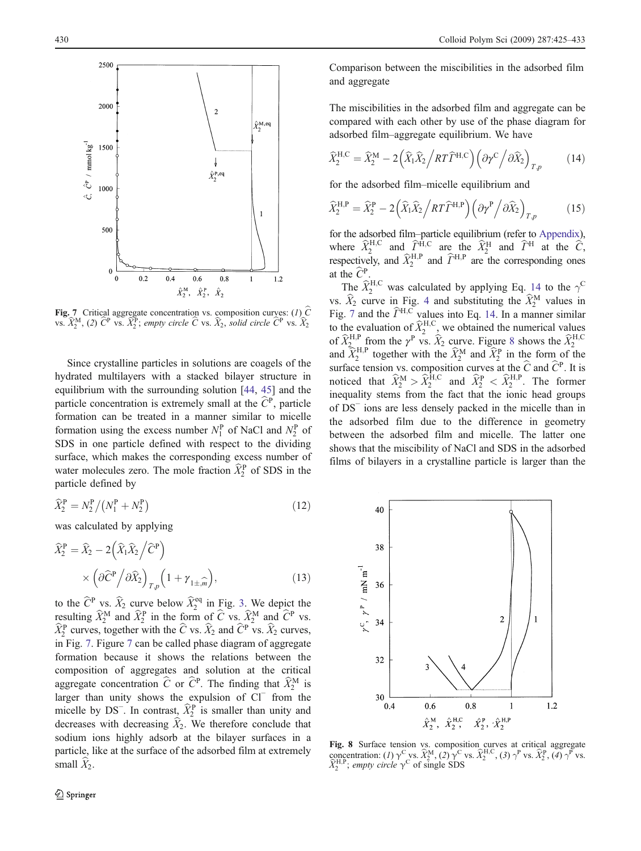<span id="page-5-0"></span>

Fig. 7 Critical aggregate concentration vs. composition curves: (1)  $\hat{C}$ vs.  $\widehat{X}_2^{\text{M}}$ , (2)  $\widehat{C}^{\text{P}}$  vs.  $\widehat{X}_2^{\text{P}}$ ; empty circle  $\widehat{C}$  vs.  $\widehat{X}_2$ , solid circle  $\widehat{C}^{\text{P}}$  vs.  $\widehat{X}_2$ 

Since crystalline particles in solutions are coagels of the hydrated multilayers with a stacked bilayer structure in equilibrium with the surrounding solution [[44,](#page-8-0) [45\]](#page-8-0) and the particle concentration is extremely small at the  $\hat{C}^{\text{P}}$ , particle formation can be treated in a manner similar to micelle formation using the excess number  $N_1^P$  of NaCl and  $N_2^P$  of SDS in one particle defined with respect to the dividing surface, which makes the corresponding excess number of water molecules zero. The mole fraction  $\widehat{X}_2^{\text{P}}$  of SDS in the particle defined by

$$
\widehat{X}_2^{\rm P} = N_2^{\rm P} / (N_1^{\rm P} + N_2^{\rm P}) \tag{12}
$$

was calculated by applying

$$
\widehat{X}_2^{\text{P}} = \widehat{X}_2 - 2\left(\widehat{X}_1\widehat{X}_2\middle/\widehat{C}^{\text{P}}\right) \times \left(\partial \widehat{C}^{\text{P}}\middle/\partial \widehat{X}_2\right)_{T,p} \left(1 + \gamma_{1 \pm \widehat{m}}\right),\tag{13}
$$

to the  $\hat{C}^{\text{P}}$  vs.  $\hat{X}_2$  curve below  $\hat{X}_2^{\text{eq}}$  in Fig. [3](#page-3-0). We depict the resulting  $\widehat{X}_2^M$  and  $\widehat{X}_2^P$  in the form of  $\widehat{C}$  vs.  $\widehat{X}_2^M$  and  $\widehat{C}^P$  vs.  $\widehat{X}_2^{\text{P}}$  curves, together with the  $\widehat{C}$  vs.  $\widehat{X}_2$  and  $\widehat{C}^{\text{P}}$  vs.  $\widehat{X}_2$  curves, in Fig. 7. Figure 7 can be called phase diagram of aggregate formation because it shows the relations between the composition of aggregates and solution at the critical aggregate concentration  $\hat{C}$  or  $\hat{C}^P$ . The finding that  $\hat{X}_2^M$  is larger than unity shows the expulsion of Cl<sup>−</sup> from the micelle by DS<sup>-</sup>. In contrast,  $\widehat{X}_2^{\text{P}}$  is smaller than unity and decreases with decreasing  $\hat{X}_2$ . We therefore conclude that sodium ions highly adsorb at the bilayer surfaces in a particle, like at the surface of the adsorbed film at extremely small  $\hat{X}_2$ .

Comparison between the miscibilities in the adsorbed film and aggregate

The miscibilities in the adsorbed film and aggregate can be compared with each other by use of the phase diagram for adsorbed film–aggregate equilibrium. We have

$$
\widehat{X}_{2}^{\text{H,C}} = \widehat{X}_{2}^{\text{M}} - 2\left(\widehat{X}_{1}\widehat{X}_{2} / RT\widehat{\varGamma}^{\text{H,C}}\right) \left(\partial \gamma^{\text{C}} / \partial \widehat{X}_{2}\right)_{T,p} \tag{14}
$$

for the adsorbed film–micelle equilibrium and

$$
\widehat{X}_2^{\rm H,P} = \widehat{X}_2^{\rm P} - 2\left(\widehat{X}_1\widehat{X}_2 \middle/ RT\widehat{\varGamma}^{\rm H,P}\right) \left(\partial \gamma^{\rm P} \middle/ \partial \widehat{X}_2\right)_{T,p} \tag{15}
$$

for the adsorbed film–particle equilibrium (refer to [Appendix\)](#page-7-0), where  $\hat{X}_2^{\text{H,C}}$  and  $\hat{\Gamma}^{\text{H,C}}$  are the  $\hat{X}_2^{\text{H}}$  and  $\hat{\Gamma}^{\text{H}}$  at the  $\hat{C}$ , respectively, and  $\widehat{X}_2^{\text{H,P}}$  and  $\widehat{\Gamma}^{\text{H,P}}$  are the corresponding ones at the  $\widehat{C}^{\mathrm{P}}$ .

The  $\widehat{X}_2^{\text{H,C}}$  was calculated by applying Eq. 14 to the  $\gamma^{\text{C}}$ vs.  $\hat{X}_2$  curve in Fig. [4](#page-3-0) and substituting the  $\hat{X}_2^M$  values in Fig. 7 and the  $\hat{\Gamma}^{\text{H,C}}$  values into Eq. 14. In a manner similar to the evaluation of  $\hat{X}_2^{H,C}$ , we obtained the numerical values of  $\hat{X}_{2}^{\text{H,P}}$  from the  $\gamma^{\text{P}}$  vs.  $\hat{X}_{2}$  curve. Figure 8 shows the  $\hat{X}_{2}^{\text{H,P}}$ <br>and  $\hat{Y}_{2}^{\text{H,P}}$  together with the  $\hat{Y}_{2}^{\text{M}}$  and  $\hat{Y}_{2}^{\text{P}}$  in the form of the and  $\widehat{X}_2^{\text{H,P}}$  together with the  $\widehat{X}_2^{\text{M}}$  and  $\widehat{X}_2^{\text{P}}$  in the form of the surface tension vs. composition curves at the  $\hat{C}$  and  $\hat{C}^{\text{P}}$ . It is noticed that  $\widehat{X}_2^{\text{M}} > \widehat{X}_2^{\text{H,C}}$  and  $\widehat{X}_2^{\text{P}} < \widehat{X}_2^{\text{H,P}}$ . The former inequality stems from the fact that the ionic head groups of DS<sup>−</sup> ions are less densely packed in the micelle than in the adsorbed film due to the difference in geometry between the adsorbed film and micelle. The latter one shows that the miscibility of NaCl and SDS in the adsorbed films of bilayers in a crystalline particle is larger than the



Fig. 8 Surface tension vs. composition curves at critical aggregate<br>concentration:  $(I) \gamma^C$  vs.  $\tilde{X}_2^M$ ,  $(2) \gamma^C$  vs.  $\tilde{X}_2^{HC}$ ,  $(3) \gamma^P$  vs.  $\tilde{X}_2^P$ ,  $(4) \gamma^P$  vs.  $\widehat{X}_2^{\text{H,P}}$ ; empty circle  $\gamma^{\text{C}}$  of single SDS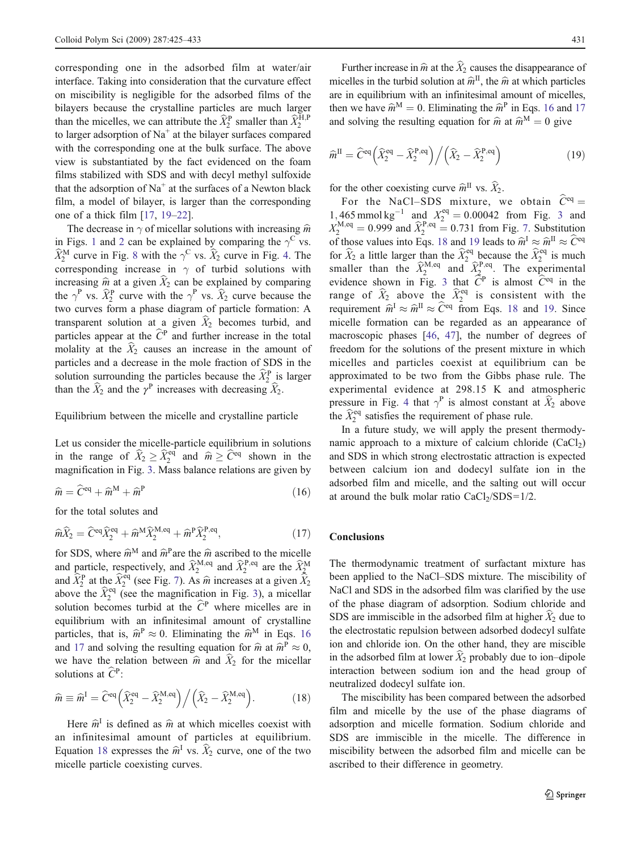corresponding one in the adsorbed film at water/air interface. Taking into consideration that the curvature effect on miscibility is negligible for the adsorbed films of the bilayers because the crystalline particles are much larger than the micelles, we can attribute the  $\widehat{X}_2^{\text{P}}$  smaller than  $\widehat{X}_2^{\text{H,P}}$ to larger adsorption of  $Na<sup>+</sup>$  at the bilayer surfaces compared with the corresponding one at the bulk surface. The above view is substantiated by the fact evidenced on the foam films stabilized with SDS and with decyl methyl sulfoxide that the adsorption of  $Na<sup>+</sup>$  at the surfaces of a Newton black film, a model of bilayer, is larger than the corresponding one of a thick film [[17,](#page-8-0) [19](#page-8-0)–[22](#page-8-0)].

The decrease in  $\gamma$  of micellar solutions with increasing  $\hat{m}$ in Figs. [1](#page-2-0) and [2](#page-2-0) can be explained by comparing the  $\gamma^{\rm C}$  vs.  $\widehat{X}_2^{\text{M}}$  curve in Fig. [8](#page-5-0) with the  $\gamma^{\text{C}}$  vs.  $\widehat{X}_2$  curve in Fig. [4](#page-3-0). The corresponding increase in  $\gamma$  of turbid solutions with increasing  $\hat{m}$  at a given  $\hat{X}_2$  can be explained by comparing the  $\gamma^P$  vs.  $\widehat{X}_2^P$  curve with the  $\gamma^P$  vs.  $\widehat{X}_2$  curve because the two curves form a phase diagram of particle formation: A transparent solution at a given  $\hat{X}_2$  becomes turbid, and particles appear at the  $\hat{C}^P$  and further increase in the total molality at the  $\hat{X}_2$  causes an increase in the amount of particles and a decrease in the mole fraction of SDS in the solution surrounding the particles because the  $\widehat{X}_2^{\text{P}}$  is larger than the  $\hat{X}_2$  and the  $\gamma^P$  increases with decreasing  $\hat{X}_2$ .

#### Equilibrium between the micelle and crystalline particle

Let us consider the micelle-particle equilibrium in solutions in the range of  $\widehat{X}_2 \ge \widehat{X}_2^{\text{eq}}$  and  $\widehat{m} \ge \widehat{C}^{\text{eq}}$  shown in the magnification in Fig. [3](#page-3-0). Mass balance relations are given by

$$
\widehat{m} = \widehat{C}^{\text{eq}} + \widehat{m}^{\text{M}} + \widehat{m}^{\text{P}} \tag{16}
$$

for the total solutes and

$$
\widehat{m}\widehat{X}_2 = \widehat{C}^{\text{eq}}\widehat{X}_2^{\text{eq}} + \widehat{m}^{\text{M}}\widehat{X}_2^{\text{M},\text{eq}} + \widehat{m}^{\text{P}}\widehat{X}_2^{\text{P},\text{eq}},\tag{17}
$$

for SDS, where  $\hat{m}^M$  and  $\hat{m}^P$ are the  $\hat{m}$  ascribed to the micelle and particle, respectively, and  $\widehat{X}_2^{M,eq}$  and  $\widehat{X}_2^{P,eq}$  are the  $\widehat{X}_2^{M}$ and  $\hat{\bar{X}}_2^{\text{P}}$  at the  $\hat{X}_2^{\text{eq}}$  (see Fig. [7\)](#page-5-0). As  $\hat{m}$  increases at a given  $\hat{\bar{X}}_2^{\text{eq}}$ above the  $\hat{X}_2^{\text{eq}}$  (see the magnification in Fig. [3\)](#page-3-0), a micellar solution becomes turbid at the  $\hat{C}^{\text{P}}$  where micelles are in equilibrium with an infinitesimal amount of crystalline particles, that is,  $\hat{m}^P \approx 0$ . Eliminating the  $\hat{m}^M$  in Eqs. 16 and 17 and solving the resulting equation for  $\hat{m}$  at  $\hat{m}^P \approx 0$ , we have the relation between  $\hat{m}$  and  $\hat{X}_2$  for the micellar solutions at  $\widehat{C}^P$ :

$$
\widehat{m} \equiv \widehat{m}^{\mathrm{I}} = \widehat{C}^{\mathrm{eq}} \left( \widehat{X}_{2}^{\mathrm{eq}} - \widehat{X}_{2}^{\mathrm{M},\mathrm{eq}} \right) \Big/ \left( \widehat{X}_{2} - \widehat{X}_{2}^{\mathrm{M},\mathrm{eq}} \right). \tag{18}
$$

Here  $\hat{m}^{\text{I}}$  is defined as  $\hat{m}$  at which micelles coexist with an infinitesimal amount of particles at equilibrium. Equation 18 expresses the  $\hat{m}^I$  vs.  $\hat{X}_2$  curve, one of the two micelle particle coexisting curves.

Further increase in  $\hat{m}$  at the  $\hat{X}_2$  causes the disappearance of micelles in the turbid solution at  $\hat{m}^{\text{II}}$ , the  $\hat{m}$  at which particles are in equilibrium with an infinitesimal amount of micelles, then we have  $\hat{m}^M = 0$ . Eliminating the  $\hat{m}^P$  in Eqs. 16 and 17 and solving the resulting equation for  $\hat{m}$  at  $\hat{m}^M = 0$  give

$$
\widehat{m}^{\mathrm{II}} = \widehat{C}^{\mathrm{eq}} \left( \widehat{X}_2^{\mathrm{eq}} - \widehat{X}_2^{\mathrm{P},\mathrm{eq}} \right) \Big/ \left( \widehat{X}_2 - \widehat{X}_2^{\mathrm{P},\mathrm{eq}} \right) \tag{19}
$$

for the other coexisting curve  $\widehat{m}^{\text{II}}$  vs.  $\widehat{X}_2$ .

For the NaCl–SDS mixture, we obtain  $\hat{C}^{eq} =$ 1, 465 mmol kg<sup>-1</sup> and  $X_2^{\text{eq}} = 0.00042$  from Fig. [3](#page-3-0) and  $X_2^{\text{M,eq}} = 0.999$  and  $\hat{X}_2^{\text{P,eq}} = 0.731$  from Fig. [7.](#page-5-0) Substitution of those values into Eqs. 18 and 19 leads to  $\hat{m}^{\text{I}} \approx \hat{m}^{\text{II}} \approx \hat{C}^{\text{eq}}$ for  $\hat{X}_2$  a little larger than the  $\hat{X}_2^{\text{eq}}$  because the  $\hat{X}_2^{\text{eq}}$  is much smaller than the  $\widehat{X}_{2}^{\text{M,eq}}$  and  $\widehat{X}_{2}^{\text{P,eq}}$ . The experimental evidence shown in Fig. [3](#page-3-0) that  $\tilde{C}^P$  is almost  $\tilde{C}^{eq}$  in the range of  $\hat{X}_2$  above the  $\hat{X}_2^{\text{eq}}$  is consistent with the requirement  $\hat{m}^I \approx \hat{m}^{\Pi} \approx \hat{C}^{eq}$  from Eqs. 18 and 19. Since micelle formation can be regarded as an appearance of macroscopic phases [\[46](#page-8-0), [47\]](#page-8-0), the number of degrees of freedom for the solutions of the present mixture in which micelles and particles coexist at equilibrium can be approximated to be two from the Gibbs phase rule. The experimental evidence at 298.15 K and atmospheric pressure in Fig. [4](#page-3-0) that  $\gamma^P$  is almost constant at  $\hat{X}_2$  above the  $\hat{X}_2^{\text{eq}}$  satisfies the requirement of phase rule.

In a future study, we will apply the present thermodynamic approach to a mixture of calcium chloride  $(CaCl<sub>2</sub>)$ and SDS in which strong electrostatic attraction is expected between calcium ion and dodecyl sulfate ion in the adsorbed film and micelle, and the salting out will occur at around the bulk molar ratio  $CaCl<sub>2</sub>/SDS=1/2$ .

# Conclusions

The thermodynamic treatment of surfactant mixture has been applied to the NaCl–SDS mixture. The miscibility of NaCl and SDS in the adsorbed film was clarified by the use of the phase diagram of adsorption. Sodium chloride and SDS are immiscible in the adsorbed film at higher  $\widehat{X}_2$  due to the electrostatic repulsion between adsorbed dodecyl sulfate ion and chloride ion. On the other hand, they are miscible in the adsorbed film at lower  $\hat{X}_2$  probably due to ion–dipole interaction between sodium ion and the head group of neutralized dodecyl sulfate ion.

The miscibility has been compared between the adsorbed film and micelle by the use of the phase diagrams of adsorption and micelle formation. Sodium chloride and SDS are immiscible in the micelle. The difference in miscibility between the adsorbed film and micelle can be ascribed to their difference in geometry.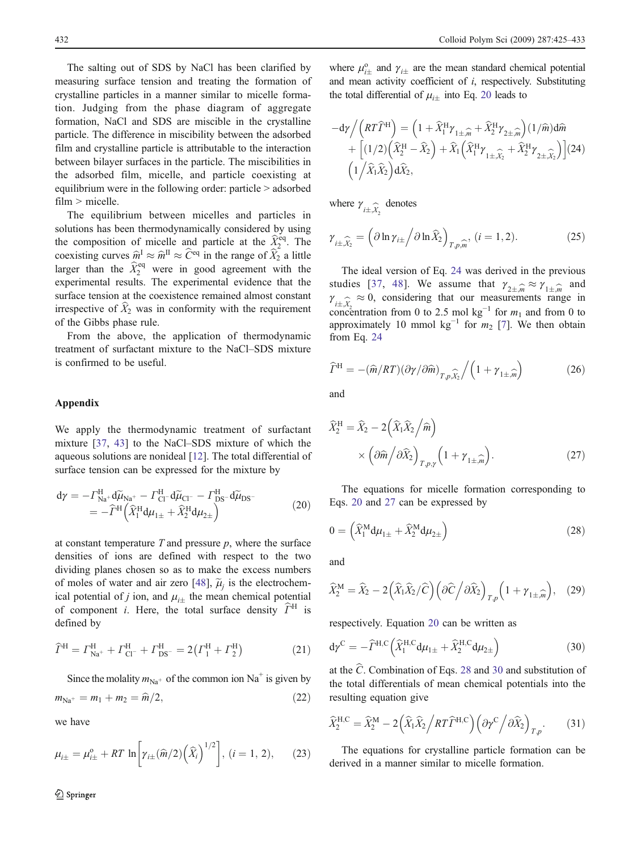<span id="page-7-0"></span>The salting out of SDS by NaCl has been clarified by measuring surface tension and treating the formation of crystalline particles in a manner similar to micelle formation. Judging from the phase diagram of aggregate formation, NaCl and SDS are miscible in the crystalline particle. The difference in miscibility between the adsorbed film and crystalline particle is attributable to the interaction between bilayer surfaces in the particle. The miscibilities in the adsorbed film, micelle, and particle coexisting at equilibrium were in the following order: particle > adsorbed film > micelle.

The equilibrium between micelles and particles in solutions has been thermodynamically considered by using the composition of micelle and particle at the  $\hat{X}_2^{\text{eq}}$ . The coexisting curves  $\hat{m}^I \approx \hat{m}^{II} \approx \hat{C}^{eq}$  in the range of  $\hat{X}_2$  a little larger than the  $\hat{X}_2^{\text{eq}}$  were in good agreement with the experimental results. The experimental evidence that the surface tension at the coexistence remained almost constant irrespective of  $\hat{X}_2$  was in conformity with the requirement of the Gibbs phase rule.

From the above, the application of thermodynamic treatment of surfactant mixture to the NaCl–SDS mixture is confirmed to be useful.

# Appendix

We apply the thermodynamic treatment of surfactant mixture [\[37](#page-8-0), [43](#page-8-0)] to the NaCl–SDS mixture of which the aqueous solutions are nonideal [[12\]](#page-8-0). The total differential of surface tension can be expressed for the mixture by

$$
\begin{split} \mathrm{d}\gamma &= -\Gamma_{\mathrm{Na}^+}^{\mathrm{H}} \mathrm{d}\widetilde{\mu}_{\mathrm{Na}^+} - \Gamma_{\mathrm{Cl}^-}^{\mathrm{H}} \mathrm{d}\widetilde{\mu}_{\mathrm{Cl}^-} - \Gamma_{\mathrm{DS}^-}^{\mathrm{H}} \mathrm{d}\widetilde{\mu}_{\mathrm{DS}^-} \\ &= -\widehat{\Gamma}^{\mathrm{H}} \left( \widehat{X}_1^{\mathrm{H}} \mathrm{d}\mu_{1\pm} + \widehat{X}_2^{\mathrm{H}} \mathrm{d}\mu_{2\pm} \right) \end{split} \tag{20}
$$

at constant temperature  $T$  and pressure  $p$ , where the surface densities of ions are defined with respect to the two dividing planes chosen so as to make the excess numbers of moles of water and air zero [[48\]](#page-8-0),  $\tilde{\mu}$  is the electrochemical potential of j ion, and  $\mu_{i\pm}$  the mean chemical potential<br>of component i. Here, the total surface density  $\hat{\Gamma}^{\text{H}}$  is of component *i*. Here, the total surface density  $\widehat{\Gamma}^{\text{H}}$  is defined by

$$
\widehat{\varGamma}^{H} = \varGamma_{\text{Na}^{+}}^{H} + \varGamma_{\text{Cl}^{-}}^{H} + \varGamma_{\text{DS}^{-}}^{H} = 2(\varGamma_{1}^{H} + \varGamma_{2}^{H})
$$
\n(21)

Since the molality  $m_{\text{Na}^+}$  of the common ion Na<sup>+</sup> is given by

$$
m_{\text{Na}^+} = m_1 + m_2 = \hat{m}/2,\tag{22}
$$

we have

$$
\mu_{i\pm} = \mu_{i\pm}^0 + RT \ln \left[ \gamma_{i\pm}(\hat{m}/2) (\hat{X}_i)^{1/2} \right], (i = 1, 2), \qquad (23)
$$

where  $\mu_{i\pm}^0$  and  $\gamma_{i\pm}$  are the mean standard chemical potential<br>and mean activity coefficient of *i* respectively. Substituting and mean activity coefficient of i, respectively. Substituting the total differential of  $\mu_{i\pm}$  into Eq. 20 leads to

$$
-d\gamma / (RT\widehat{\Gamma}^{H}) = (1 + \widehat{X}_{1}^{H} \gamma_{1 \pm \widehat{m}} + \widehat{X}_{2}^{H} \gamma_{2 \pm \widehat{m}}) (1/\widehat{m}) d\widehat{m}
$$
  
+ 
$$
[(1/2) (\widehat{X}_{2}^{H} - \widehat{X}_{2}) + \widehat{X}_{1} (\widehat{X}_{1}^{H} \gamma_{1 \pm \widehat{\lambda}_{2}} + \widehat{X}_{2}^{H} \gamma_{2 \pm \widehat{\lambda}_{2}})] (24)
$$

$$
(1/\widehat{X}_{1} \widehat{X}_{2}) d\widehat{X}_{2},
$$

where  $\gamma_{i \pm, \widehat{X}_2}$  denotes

$$
\gamma_{i \pm, \widehat{\chi}_2} = \left(\partial \ln \gamma_{i \pm} / \partial \ln \widehat{X}_2\right)_{T, p, \widehat{m}}, (i = 1, 2). \tag{25}
$$

The ideal version of Eq. 24 was derived in the previous studies [[37](#page-8-0), [48](#page-8-0)]. We assume that  $\gamma_{2\pm,m} \approx \gamma_{1\pm,m}$  and  $\gamma_{1\pm,m} \approx 0$  considering that our measurements range in  $\sum_{i\pm X_2}^{i\pm X_2}$  is, concentration from 0 to 2.5 mol kg<sup>-1</sup> for  $m_1$  and from 0 to  $\hat{x}_i \approx 0$ , considering that our measurements range in approximately 10 mmol  $kg^{-1}$  for  $m_2$  [[7\]](#page-8-0). We then obtain from Eq. 24

$$
\widehat{\varGamma}^{\mathrm{H}} = -(\widehat{m}/RT)(\partial \gamma/\partial \widehat{m})_{T,p,\widehat{\chi}_{2}} / (1 + \gamma_{1 \pm, \widehat{m}})
$$
(26)

and

$$
\widehat{X}_2^{\mathrm{H}} = \widehat{X}_2 - 2\left(\widehat{X}_1\widehat{X}_2\middle/\widehat{m}\right)
$$

$$
\times \left(\partial \widehat{m}\middle/\partial \widehat{X}_2\right)_{T,p,\gamma} \left(1 + \gamma_{1\pm,\widehat{m}}\right). \tag{27}
$$

The equations for micelle formation corresponding to Eqs. 20 and 27 can be expressed by

$$
0 = \left(\widehat{X}_1^{\mathbf{M}} \mathbf{d} \mu_{1\pm} + \widehat{X}_2^{\mathbf{M}} \mathbf{d} \mu_{2\pm}\right) \tag{28}
$$

and

$$
\widehat{X}_2^{\mathbf{M}} = \widehat{X}_2 - 2\left(\widehat{X}_1\widehat{X}_2/\widehat{C}\right)\left(\partial \widehat{C} \middle/ \partial \widehat{X}_2\right)_{T,p} \left(1 + \gamma_{1 \pm \widehat{m}}\right), \quad (29)
$$

respectively. Equation 20 can be written as

$$
\mathrm{d}\gamma^{\mathrm{C}} = -\widehat{\varGamma}^{\mathrm{H,C}} \left( \widehat{X}_1^{\mathrm{H,C}} \mathrm{d}\mu_{1\pm} + \widehat{X}_2^{\mathrm{H,C}} \mathrm{d}\mu_{2\pm} \right) \tag{30}
$$

at the  $\hat{C}$ . Combination of Eqs. 28 and 30 and substitution of the total differentials of mean chemical potentials into the resulting equation give

$$
\widehat{X}_{2}^{\text{H,C}} = \widehat{X}_{2}^{\text{M}} - 2\left(\widehat{X}_{1}\widehat{X}_{2} / RT\widehat{\varGamma}^{\text{H,C}}\right) \left(\partial \gamma^{\text{C}} / \partial \widehat{X}_{2}\right)_{T,p}.
$$
 (31)

The equations for crystalline particle formation can be derived in a manner similar to micelle formation.